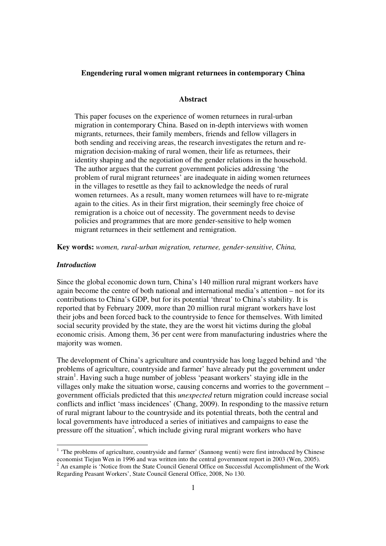### **Engendering rural women migrant returnees in contemporary China**

### **Abstract**

This paper focuses on the experience of women returnees in rural-urban migration in contemporary China. Based on in-depth interviews with women migrants, returnees, their family members, friends and fellow villagers in both sending and receiving areas, the research investigates the return and remigration decision-making of rural women, their life as returnees, their identity shaping and the negotiation of the gender relations in the household. The author argues that the current government policies addressing 'the problem of rural migrant returnees' are inadequate in aiding women returnees in the villages to resettle as they fail to acknowledge the needs of rural women returnees. As a result, many women returnees will have to re-migrate again to the cities. As in their first migration, their seemingly free choice of remigration is a choice out of necessity. The government needs to devise policies and programmes that are more gender-sensitive to help women migrant returnees in their settlement and remigration.

**Key words:** *women, rural-urban migration, returnee, gender-sensitive, China,* 

#### *Introduction*

-

Since the global economic down turn, China's 140 million rural migrant workers have again become the centre of both national and international media's attention – not for its contributions to China's GDP, but for its potential 'threat' to China's stability. It is reported that by February 2009, more than 20 million rural migrant workers have lost their jobs and been forced back to the countryside to fence for themselves. With limited social security provided by the state, they are the worst hit victims during the global economic crisis. Among them, 36 per cent were from manufacturing industries where the majority was women.

The development of China's agriculture and countryside has long lagged behind and 'the problems of agriculture, countryside and farmer' have already put the government under strain<sup>1</sup>. Having such a huge number of jobless 'peasant workers' staying idle in the villages only make the situation worse, causing concerns and worries to the government – government officials predicted that this *unexpected* return migration could increase social conflicts and inflict 'mass incidences' (Chang, 2009). In responding to the massive return of rural migrant labour to the countryside and its potential threats, both the central and local governments have introduced a series of initiatives and campaigns to ease the pressure off the situation<sup>2</sup>, which include giving rural migrant workers who have

<sup>&</sup>lt;sup>1</sup> 'The problems of agriculture, countryside and farmer' (Sannong wenti) were first introduced by Chinese economist Tiejun Wen in 1996 and was written into the central government report in 2003 (Wen, 2005). <sup>2</sup> An example is 'Notice from the State Council General Office on Successful Accomplishment of the Work Regarding Peasant Workers', State Council General Office, 2008, No 130.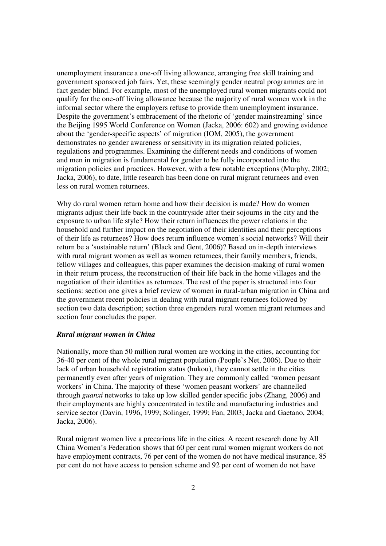unemployment insurance a one-off living allowance, arranging free skill training and government sponsored job fairs. Yet, these seemingly gender neutral programmes are in fact gender blind. For example, most of the unemployed rural women migrants could not qualify for the one-off living allowance because the majority of rural women work in the informal sector where the employers refuse to provide them unemployment insurance. Despite the government's embracement of the rhetoric of 'gender mainstreaming' since the Beijing 1995 World Conference on Women (Jacka, 2006: 602) and growing evidence about the 'gender-specific aspects' of migration (IOM, 2005), the government demonstrates no gender awareness or sensitivity in its migration related policies, regulations and programmes. Examining the different needs and conditions of women and men in migration is fundamental for gender to be fully incorporated into the migration policies and practices. However, with a few notable exceptions (Murphy, 2002; Jacka, 2006), to date, little research has been done on rural migrant returnees and even less on rural women returnees.

Why do rural women return home and how their decision is made? How do women migrants adjust their life back in the countryside after their sojourns in the city and the exposure to urban life style? How their return influences the power relations in the household and further impact on the negotiation of their identities and their perceptions of their life as returnees? How does return influence women's social networks? Will their return be a 'sustainable return' (Black and Gent, 2006)? Based on in-depth interviews with rural migrant women as well as women returnees, their family members, friends, fellow villages and colleagues, this paper examines the decision-making of rural women in their return process, the reconstruction of their life back in the home villages and the negotiation of their identities as returnees. The rest of the paper is structured into four sections: section one gives a brief review of women in rural-urban migration in China and the government recent policies in dealing with rural migrant returnees followed by section two data description; section three engenders rural women migrant returnees and section four concludes the paper.

### *Rural migrant women in China*

Nationally, more than 50 million rural women are working in the cities, accounting for 36-40 per cent of the whole rural migrant population (People's Net, 2006). Due to their lack of urban household registration status (hukou), they cannot settle in the cities permanently even after years of migration. They are commonly called 'women peasant workers' in China. The majority of these 'women peasant workers' are channelled through *guanxi* networks to take up low skilled gender specific jobs (Zhang, 2006) and their employments are highly concentrated in textile and manufacturing industries and service sector (Davin, 1996, 1999; Solinger, 1999; Fan, 2003; Jacka and Gaetano, 2004; Jacka, 2006).

Rural migrant women live a precarious life in the cities. A recent research done by All China Women's Federation shows that 60 per cent rural women migrant workers do not have employment contracts, 76 per cent of the women do not have medical insurance, 85 per cent do not have access to pension scheme and 92 per cent of women do not have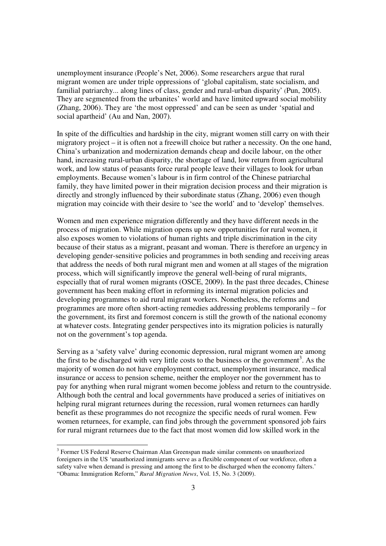unemployment insurance (People's Net, 2006). Some researchers argue that rural migrant women are under triple oppressions of 'global capitalism, state socialism, and familial patriarchy... along lines of class, gender and rural-urban disparity' (Pun, 2005). They are segmented from the urbanites' world and have limited upward social mobility (Zhang, 2006). They are 'the most oppressed' and can be seen as under 'spatial and social apartheid' (Au and Nan, 2007).

In spite of the difficulties and hardship in the city, migrant women still carry on with their migratory project – it is often not a freewill choice but rather a necessity. On the one hand, China's urbanization and modernization demands cheap and docile labour, on the other hand, increasing rural-urban disparity, the shortage of land, low return from agricultural work, and low status of peasants force rural people leave their villages to look for urban employments. Because women's labour is in firm control of the Chinese patriarchal family, they have limited power in their migration decision process and their migration is directly and strongly influenced by their subordinate status (Zhang, 2006) even though migration may coincide with their desire to 'see the world' and to 'develop' themselves.

Women and men experience migration differently and they have different needs in the process of migration. While migration opens up new opportunities for rural women, it also exposes women to violations of human rights and triple discrimination in the city because of their status as a migrant, peasant and woman. There is therefore an urgency in developing gender-sensitive policies and programmes in both sending and receiving areas that address the needs of both rural migrant men and women at all stages of the migration process, which will significantly improve the general well-being of rural migrants, especially that of rural women migrants (OSCE, 2009). In the past three decades, Chinese government has been making effort in reforming its internal migration policies and developing programmes to aid rural migrant workers. Nonetheless, the reforms and programmes are more often short-acting remedies addressing problems temporarily – for the government, its first and foremost concern is still the growth of the national economy at whatever costs. Integrating gender perspectives into its migration policies is naturally not on the government's top agenda.

Serving as a 'safety valve' during economic depression, rural migrant women are among the first to be discharged with very little costs to the business or the government<sup>3</sup>. As the majority of women do not have employment contract, unemployment insurance, medical insurance or access to pension scheme, neither the employer nor the government has to pay for anything when rural migrant women become jobless and return to the countryside. Although both the central and local governments have produced a series of initiatives on helping rural migrant returnees during the recession, rural women returnees can hardly benefit as these programmes do not recognize the specific needs of rural women. Few women returnees, for example, can find jobs through the government sponsored job fairs for rural migrant returnees due to the fact that most women did low skilled work in the

-

<sup>&</sup>lt;sup>3</sup> Former US Federal Reserve Chairman Alan Greenspan made similar comments on unauthorized foreigners in the US 'unauthorized immigrants serve as a flexible component of our workforce, often a safety valve when demand is pressing and among the first to be discharged when the economy falters.' "Obama: Immigration Reform," *Rural Migration News*, Vol. 15, No. 3 (2009).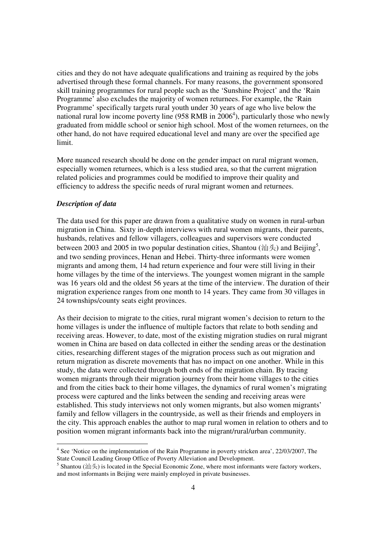cities and they do not have adequate qualifications and training as required by the jobs advertised through these formal channels. For many reasons, the government sponsored skill training programmes for rural people such as the 'Sunshine Project' and the 'Rain Programme' also excludes the majority of women returnees. For example, the 'Rain Programme' specifically targets rural youth under 30 years of age who live below the national rural low income poverty line (958 RMB in  $2006<sup>4</sup>$ ), particularly those who newly graduated from middle school or senior high school. Most of the women returnees, on the other hand, do not have required educational level and many are over the specified age limit.

More nuanced research should be done on the gender impact on rural migrant women, especially women returnees, which is a less studied area, so that the current migration related policies and programmes could be modified to improve their quality and efficiency to address the specific needs of rural migrant women and returnees.

## *Description of data*

The data used for this paper are drawn from a qualitative study on women in rural-urban migration in China. Sixty in-depth interviews with rural women migrants, their parents, husbands, relatives and fellow villagers, colleagues and supervisors were conducted between 2003 and 2005 in two popular destination cities, Shantou ( $\mathcal{H} \neq$ ) and Beijing<sup>5</sup>, and two sending provinces, Henan and Hebei. Thirty-three informants were women migrants and among them, 14 had return experience and four were still living in their home villages by the time of the interviews. The youngest women migrant in the sample was 16 years old and the oldest 56 years at the time of the interview. The duration of their migration experience ranges from one month to 14 years. They came from 30 villages in 24 townships/county seats eight provinces.

As their decision to migrate to the cities, rural migrant women's decision to return to the home villages is under the influence of multiple factors that relate to both sending and receiving areas. However, to date, most of the existing migration studies on rural migrant women in China are based on data collected in either the sending areas or the destination cities, researching different stages of the migration process such as out migration and return migration as discrete movements that has no impact on one another. While in this study, the data were collected through both ends of the migration chain. By tracing women migrants through their migration journey from their home villages to the cities and from the cities back to their home villages, the dynamics of rural women's migrating process were captured and the links between the sending and receiving areas were established. This study interviews not only women migrants, but also women migrants' family and fellow villagers in the countryside, as well as their friends and employers in the city. This approach enables the author to map rural women in relation to others and to position women migrant informants back into the migrant/rural/urban community.

<sup>&</sup>lt;sup>4</sup> See 'Notice on the implementation of the Rain Programme in poverty stricken area', 22/03/2007, The State Council Leading Group Office of Poverty Alleviation and Development.

<sup>&</sup>lt;sup>5</sup> Shantou (汕头) is located in the Special Economic Zone, where most informants were factory workers, and most informants in Beijing were mainly employed in private businesses.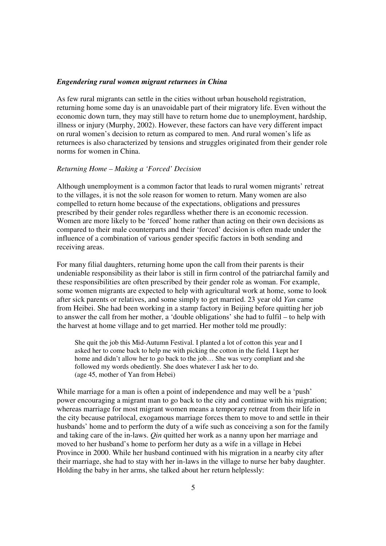### *Engendering rural women migrant returnees in China*

As few rural migrants can settle in the cities without urban household registration, returning home some day is an unavoidable part of their migratory life. Even without the economic down turn, they may still have to return home due to unemployment, hardship, illness or injury (Murphy, 2002). However, these factors can have very different impact on rural women's decision to return as compared to men. And rural women's life as returnees is also characterized by tensions and struggles originated from their gender role norms for women in China.

## *Returning Home – Making a 'Forced' Decision*

Although unemployment is a common factor that leads to rural women migrants' retreat to the villages, it is not the sole reason for women to return. Many women are also compelled to return home because of the expectations, obligations and pressures prescribed by their gender roles regardless whether there is an economic recession. Women are more likely to be 'forced' home rather than acting on their own decisions as compared to their male counterparts and their 'forced' decision is often made under the influence of a combination of various gender specific factors in both sending and receiving areas.

For many filial daughters, returning home upon the call from their parents is their undeniable responsibility as their labor is still in firm control of the patriarchal family and these responsibilities are often prescribed by their gender role as woman. For example, some women migrants are expected to help with agricultural work at home, some to look after sick parents or relatives, and some simply to get married. 23 year old *Yan* came from Heibei. She had been working in a stamp factory in Beijing before quitting her job to answer the call from her mother, a 'double obligations' she had to fulfil – to help with the harvest at home village and to get married. Her mother told me proudly:

She quit the job this Mid-Autumn Festival. I planted a lot of cotton this year and I asked her to come back to help me with picking the cotton in the field. I kept her home and didn't allow her to go back to the job... She was very compliant and she followed my words obediently. She does whatever I ask her to do. (age 45, mother of Yan from Hebei)

While marriage for a man is often a point of independence and may well be a 'push' power encouraging a migrant man to go back to the city and continue with his migration; whereas marriage for most migrant women means a temporary retreat from their life in the city because patrilocal, exogamous marriage forces them to move to and settle in their husbands' home and to perform the duty of a wife such as conceiving a son for the family and taking care of the in-laws. *Qin* quitted her work as a nanny upon her marriage and moved to her husband's home to perform her duty as a wife in a village in Hebei Province in 2000. While her husband continued with his migration in a nearby city after their marriage, she had to stay with her in-laws in the village to nurse her baby daughter. Holding the baby in her arms, she talked about her return helplessly: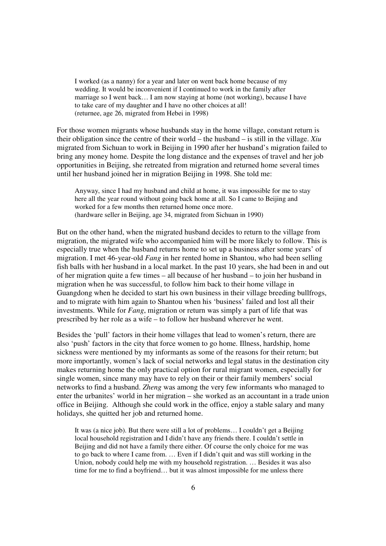I worked (as a nanny) for a year and later on went back home because of my wedding. It would be inconvenient if I continued to work in the family after marriage so I went back… I am now staying at home (not working), because I have to take care of my daughter and I have no other choices at all! (returnee, age 26, migrated from Hebei in 1998)

For those women migrants whose husbands stay in the home village, constant return is their obligation since the centre of their world – the husband – is still in the village. *Xiu* migrated from Sichuan to work in Beijing in 1990 after her husband's migration failed to bring any money home. Despite the long distance and the expenses of travel and her job opportunities in Beijing, she retreated from migration and returned home several times until her husband joined her in migration Beijing in 1998. She told me:

Anyway, since I had my husband and child at home, it was impossible for me to stay here all the year round without going back home at all. So I came to Beijing and worked for a few months then returned home once more. (hardware seller in Beijing, age 34, migrated from Sichuan in 1990)

But on the other hand, when the migrated husband decides to return to the village from migration, the migrated wife who accompanied him will be more likely to follow. This is especially true when the husband returns home to set up a business after some years' of migration. I met 46-year-old *Fang* in her rented home in Shantou, who had been selling fish balls with her husband in a local market. In the past 10 years, she had been in and out of her migration quite a few times – all because of her husband – to join her husband in migration when he was successful, to follow him back to their home village in Guangdong when he decided to start his own business in their village breeding bullfrogs, and to migrate with him again to Shantou when his 'business' failed and lost all their investments. While for *Fang*, migration or return was simply a part of life that was prescribed by her role as a wife – to follow her husband wherever he went.

Besides the 'pull' factors in their home villages that lead to women's return, there are also 'push' factors in the city that force women to go home. Illness, hardship, home sickness were mentioned by my informants as some of the reasons for their return; but more importantly, women's lack of social networks and legal status in the destination city makes returning home the only practical option for rural migrant women, especially for single women, since many may have to rely on their or their family members' social networks to find a husband. *Zheng* was among the very few informants who managed to enter the urbanites' world in her migration – she worked as an accountant in a trade union office in Beijing. Although she could work in the office, enjoy a stable salary and many holidays, she quitted her job and returned home.

It was (a nice job). But there were still a lot of problems… I couldn't get a Beijing local household registration and I didn't have any friends there. I couldn't settle in Beijing and did not have a family there either. Of course the only choice for me was to go back to where I came from. … Even if I didn't quit and was still working in the Union, nobody could help me with my household registration. … Besides it was also time for me to find a boyfriend… but it was almost impossible for me unless there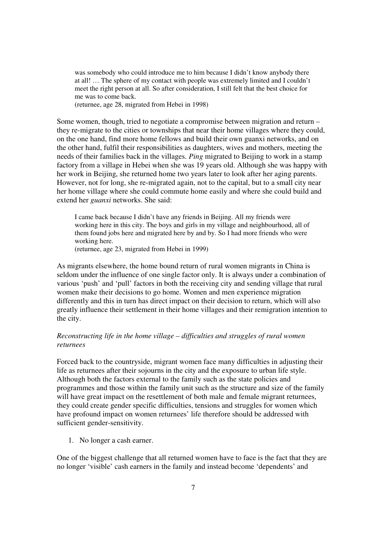was somebody who could introduce me to him because I didn't know anybody there at all! … The sphere of my contact with people was extremely limited and I couldn't meet the right person at all. So after consideration, I still felt that the best choice for me was to come back.

(returnee, age 28, migrated from Hebei in 1998)

Some women, though, tried to negotiate a compromise between migration and return – they re-migrate to the cities or townships that near their home villages where they could, on the one hand, find more home fellows and build their own guanxi networks, and on the other hand, fulfil their responsibilities as daughters, wives and mothers, meeting the needs of their families back in the villages. *Ping* migrated to Beijing to work in a stamp factory from a village in Hebei when she was 19 years old. Although she was happy with her work in Beijing, she returned home two years later to look after her aging parents. However, not for long, she re-migrated again, not to the capital, but to a small city near her home village where she could commute home easily and where she could build and extend her *guanxi* networks. She said:

I came back because I didn't have any friends in Beijing. All my friends were working here in this city. The boys and girls in my village and neighbourhood, all of them found jobs here and migrated here by and by. So I had more friends who were working here.

(returnee, age 23, migrated from Hebei in 1999)

As migrants elsewhere, the home bound return of rural women migrants in China is seldom under the influence of one single factor only. It is always under a combination of various 'push' and 'pull' factors in both the receiving city and sending village that rural women make their decisions to go home. Women and men experience migration differently and this in turn has direct impact on their decision to return, which will also greatly influence their settlement in their home villages and their remigration intention to the city.

## *Reconstructing life in the home village – difficulties and struggles of rural women returnees*

Forced back to the countryside, migrant women face many difficulties in adjusting their life as returnees after their sojourns in the city and the exposure to urban life style. Although both the factors external to the family such as the state policies and programmes and those within the family unit such as the structure and size of the family will have great impact on the resettlement of both male and female migrant returnees, they could create gender specific difficulties, tensions and struggles for women which have profound impact on women returnees' life therefore should be addressed with sufficient gender-sensitivity.

1. No longer a cash earner.

One of the biggest challenge that all returned women have to face is the fact that they are no longer 'visible' cash earners in the family and instead become 'dependents' and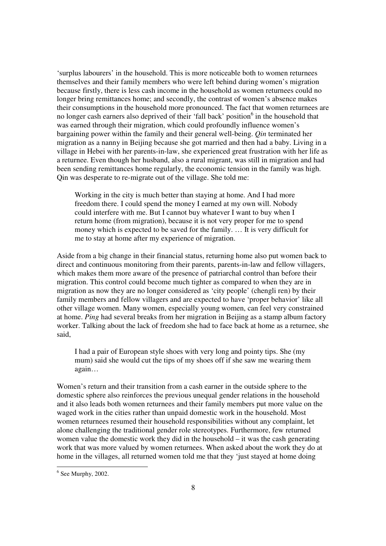'surplus labourers' in the household. This is more noticeable both to women returnees themselves and their family members who were left behind during women's migration because firstly, there is less cash income in the household as women returnees could no longer bring remittances home; and secondly, the contrast of women's absence makes their consumptions in the household more pronounced. The fact that women returnees are no longer cash earners also deprived of their 'fall back' position<sup>6</sup> in the household that was earned through their migration, which could profoundly influence women's bargaining power within the family and their general well-being. *Qin* terminated her migration as a nanny in Beijing because she got married and then had a baby. Living in a village in Hebei with her parents-in-law, she experienced great frustration with her life as a returnee. Even though her husband, also a rural migrant, was still in migration and had been sending remittances home regularly, the economic tension in the family was high. Qin was desperate to re-migrate out of the village. She told me:

Working in the city is much better than staying at home. And I had more freedom there. I could spend the money I earned at my own will. Nobody could interfere with me. But I cannot buy whatever I want to buy when I return home (from migration), because it is not very proper for me to spend money which is expected to be saved for the family. … It is very difficult for me to stay at home after my experience of migration.

Aside from a big change in their financial status, returning home also put women back to direct and continuous monitoring from their parents, parents-in-law and fellow villagers, which makes them more aware of the presence of patriarchal control than before their migration. This control could become much tighter as compared to when they are in migration as now they are no longer considered as 'city people' (chengli ren) by their family members and fellow villagers and are expected to have 'proper behavior' like all other village women. Many women, especially young women, can feel very constrained at home. *Ping* had several breaks from her migration in Beijing as a stamp album factory worker. Talking about the lack of freedom she had to face back at home as a returnee, she said,

I had a pair of European style shoes with very long and pointy tips. She (my mum) said she would cut the tips of my shoes off if she saw me wearing them again…

Women's return and their transition from a cash earner in the outside sphere to the domestic sphere also reinforces the previous unequal gender relations in the household and it also leads both women returnees and their family members put more value on the waged work in the cities rather than unpaid domestic work in the household. Most women returnees resumed their household responsibilities without any complaint, let alone challenging the traditional gender role stereotypes. Furthermore, few returned women value the domestic work they did in the household – it was the cash generating work that was more valued by women returnees. When asked about the work they do at home in the villages, all returned women told me that they 'just stayed at home doing

<sup>&</sup>lt;sup>6</sup> See Murphy, 2002.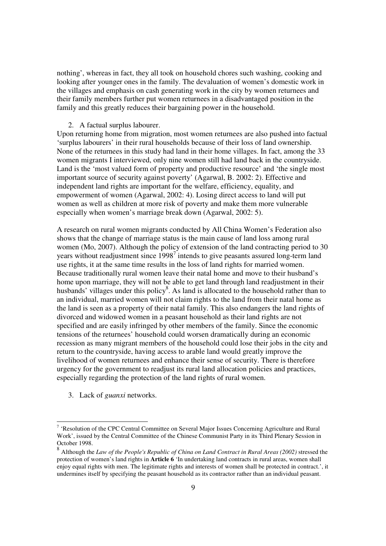nothing', whereas in fact, they all took on household chores such washing, cooking and looking after younger ones in the family. The devaluation of women's domestic work in the villages and emphasis on cash generating work in the city by women returnees and their family members further put women returnees in a disadvantaged position in the family and this greatly reduces their bargaining power in the household.

## 2. A factual surplus labourer.

Upon returning home from migration, most women returnees are also pushed into factual 'surplus labourers' in their rural households because of their loss of land ownership. None of the returnees in this study had land in their home villages. In fact, among the 33 women migrants I interviewed, only nine women still had land back in the countryside. Land is the 'most valued form of property and productive resource' and 'the single most important source of security against poverty' (Agarwal, B. 2002: 2). Effective and independent land rights are important for the welfare, efficiency, equality, and empowerment of women (Agarwal, 2002: 4). Losing direct access to land will put women as well as children at more risk of poverty and make them more vulnerable especially when women's marriage break down (Agarwal, 2002: 5).

A research on rural women migrants conducted by All China Women's Federation also shows that the change of marriage status is the main cause of land loss among rural women (Mo, 2007). Although the policy of extension of the land contracting period to 30 years without readjustment since  $1998<sup>7</sup>$  intends to give peasants assured long-term land use rights, it at the same time results in the loss of land rights for married women. Because traditionally rural women leave their natal home and move to their husband's home upon marriage, they will not be able to get land through land readjustment in their husbands' villages under this policy<sup>8</sup>. As land is allocated to the household rather than to an individual, married women will not claim rights to the land from their natal home as the land is seen as a property of their natal family. This also endangers the land rights of divorced and widowed women in a peasant household as their land rights are not specified and are easily infringed by other members of the family. Since the economic tensions of the returnees' household could worsen dramatically during an economic recession as many migrant members of the household could lose their jobs in the city and return to the countryside, having access to arable land would greatly improve the livelihood of women returnees and enhance their sense of security. There is therefore urgency for the government to readjust its rural land allocation policies and practices, especially regarding the protection of the land rights of rural women.

3. Lack of *guanxi* networks.

<u>.</u>

<sup>&</sup>lt;sup>7</sup> 'Resolution of the CPC Central Committee on Several Major Issues Concerning Agriculture and Rural Work', issued by the Central Committee of the Chinese Communist Party in its Third Plenary Session in October 1998.

<sup>8</sup> Although the *Law of the People's Republic of China on Land Contract in Rural Areas (2002)* stressed the protection of women's land rights in **Article 6** 'In undertaking land contracts in rural areas, women shall enjoy equal rights with men. The legitimate rights and interests of women shall be protected in contract.', it undermines itself by specifying the peasant household as its contractor rather than an individual peasant.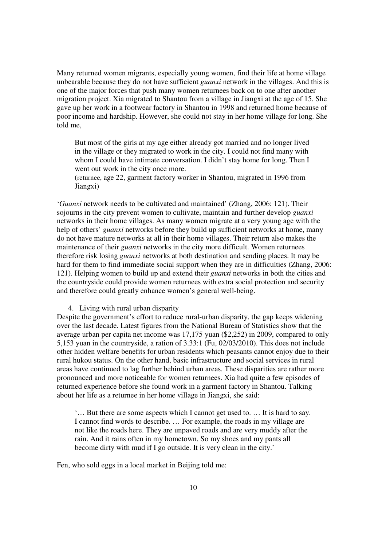Many returned women migrants, especially young women, find their life at home village unbearable because they do not have sufficient *guanxi* network in the villages. And this is one of the major forces that push many women returnees back on to one after another migration project. Xia migrated to Shantou from a village in Jiangxi at the age of 15. She gave up her work in a footwear factory in Shantou in 1998 and returned home because of poor income and hardship. However, she could not stay in her home village for long. She told me,

But most of the girls at my age either already got married and no longer lived in the village or they migrated to work in the city. I could not find many with whom I could have intimate conversation. I didn't stay home for long. Then I went out work in the city once more.

(returnee, age 22, garment factory worker in Shantou, migrated in 1996 from Jiangxi)

'*Guanxi* network needs to be cultivated and maintained' (Zhang, 2006: 121). Their sojourns in the city prevent women to cultivate, maintain and further develop *guanxi* networks in their home villages. As many women migrate at a very young age with the help of others' *guanxi* networks before they build up sufficient networks at home, many do not have mature networks at all in their home villages. Their return also makes the maintenance of their *guanxi* networks in the city more difficult. Women returnees therefore risk losing *guanxi* networks at both destination and sending places. It may be hard for them to find immediate social support when they are in difficulties (Zhang, 2006: 121). Helping women to build up and extend their *guanxi* networks in both the cities and the countryside could provide women returnees with extra social protection and security and therefore could greatly enhance women's general well-being.

### 4. Living with rural urban disparity

Despite the government's effort to reduce rural-urban disparity, the gap keeps widening over the last decade. Latest figures from the National Bureau of Statistics show that the average urban per capita net income was 17,175 yuan (\$2,252) in 2009, compared to only 5,153 yuan in the countryside, a ration of 3.33:1 (Fu, 02/03/2010). This does not include other hidden welfare benefits for urban residents which peasants cannot enjoy due to their rural hukou status. On the other hand, basic infrastructure and social services in rural areas have continued to lag further behind urban areas. These disparities are rather more pronounced and more noticeable for women returnees. Xia had quite a few episodes of returned experience before she found work in a garment factory in Shantou. Talking about her life as a returnee in her home village in Jiangxi, she said:

'… But there are some aspects which I cannot get used to. … It is hard to say. I cannot find words to describe. … For example, the roads in my village are not like the roads here. They are unpaved roads and are very muddy after the rain. And it rains often in my hometown. So my shoes and my pants all become dirty with mud if I go outside. It is very clean in the city.'

Fen, who sold eggs in a local market in Beijing told me: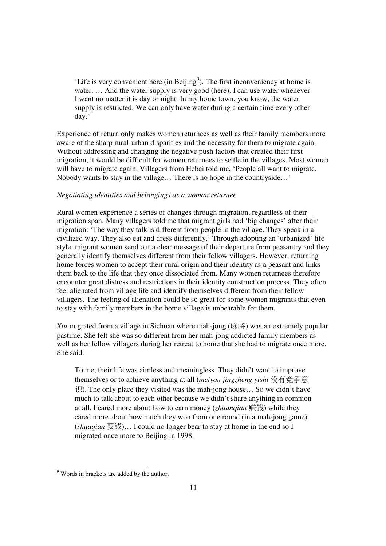'Life is very convenient here (in Beijing<sup>9</sup>). The first inconveniency at home is water. ... And the water supply is very good (here). I can use water whenever I want no matter it is day or night. In my home town, you know, the water supply is restricted. We can only have water during a certain time every other day.'

Experience of return only makes women returnees as well as their family members more aware of the sharp rural-urban disparities and the necessity for them to migrate again. Without addressing and changing the negative push factors that created their first migration, it would be difficult for women returnees to settle in the villages. Most women will have to migrate again. Villagers from Hebei told me, 'People all want to migrate. Nobody wants to stay in the village… There is no hope in the countryside…'

## *Negotiating identities and belongings as a woman returnee*

Rural women experience a series of changes through migration, regardless of their migration span. Many villagers told me that migrant girls had 'big changes' after their migration: 'The way they talk is different from people in the village. They speak in a civilized way. They also eat and dress differently.' Through adopting an 'urbanized' life style, migrant women send out a clear message of their departure from peasantry and they generally identify themselves different from their fellow villagers. However, returning home forces women to accept their rural origin and their identity as a peasant and links them back to the life that they once dissociated from. Many women returnees therefore encounter great distress and restrictions in their identity construction process. They often feel alienated from village life and identify themselves different from their fellow villagers. The feeling of alienation could be so great for some women migrants that even to stay with family members in the home village is unbearable for them.

*Xiu* migrated from a village in Sichuan where mah-jong (麻将) was an extremely popular pastime. She felt she was so different from her mah-jong addicted family members as well as her fellow villagers during her retreat to home that she had to migrate once more. She said:

To me, their life was aimless and meaningless. They didn't want to improve themselves or to achieve anything at all (*meiyou jingzheng yishi* 没有竞争意 识). The only place they visited was the mah-jong house... So we didn't have much to talk about to each other because we didn't share anything in common at all. I cared more about how to earn money (*zhuanqian* 赚钱) while they cared more about how much they won from one round (in a mah-jong game) (*shuaqian* 耍钱)… I could no longer bear to stay at home in the end so I migrated once more to Beijing in 1998.

Words in brackets are added by the author.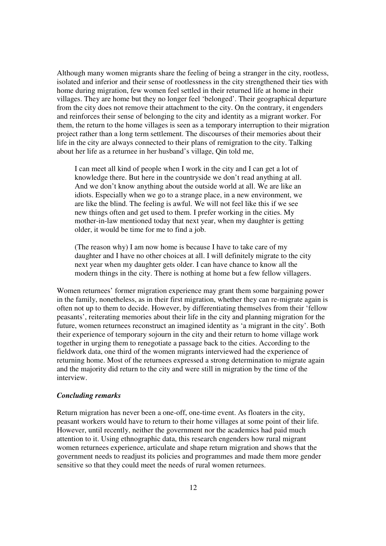Although many women migrants share the feeling of being a stranger in the city, rootless, isolated and inferior and their sense of rootlessness in the city strengthened their ties with home during migration, few women feel settled in their returned life at home in their villages. They are home but they no longer feel 'belonged'. Their geographical departure from the city does not remove their attachment to the city. On the contrary, it engenders and reinforces their sense of belonging to the city and identity as a migrant worker. For them, the return to the home villages is seen as a temporary interruption to their migration project rather than a long term settlement. The discourses of their memories about their life in the city are always connected to their plans of remigration to the city. Talking about her life as a returnee in her husband's village, Qin told me,

I can meet all kind of people when I work in the city and I can get a lot of knowledge there. But here in the countryside we don't read anything at all. And we don't know anything about the outside world at all. We are like an idiots. Especially when we go to a strange place, in a new environment, we are like the blind. The feeling is awful. We will not feel like this if we see new things often and get used to them. I prefer working in the cities. My mother-in-law mentioned today that next year, when my daughter is getting older, it would be time for me to find a job.

(The reason why) I am now home is because I have to take care of my daughter and I have no other choices at all. I will definitely migrate to the city next year when my daughter gets older. I can have chance to know all the modern things in the city. There is nothing at home but a few fellow villagers.

Women returnees' former migration experience may grant them some bargaining power in the family, nonetheless, as in their first migration, whether they can re-migrate again is often not up to them to decide. However, by differentiating themselves from their 'fellow peasants', reiterating memories about their life in the city and planning migration for the future, women returnees reconstruct an imagined identity as 'a migrant in the city'. Both their experience of temporary sojourn in the city and their return to home village work together in urging them to renegotiate a passage back to the cities. According to the fieldwork data, one third of the women migrants interviewed had the experience of returning home. Most of the returnees expressed a strong determination to migrate again and the majority did return to the city and were still in migration by the time of the interview.

### *Concluding remarks*

Return migration has never been a one-off, one-time event. As floaters in the city, peasant workers would have to return to their home villages at some point of their life. However, until recently, neither the government nor the academics had paid much attention to it. Using ethnographic data, this research engenders how rural migrant women returnees experience, articulate and shape return migration and shows that the government needs to readjust its policies and programmes and made them more gender sensitive so that they could meet the needs of rural women returnees.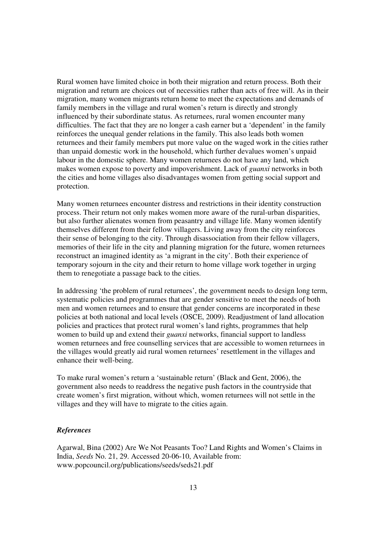Rural women have limited choice in both their migration and return process. Both their migration and return are choices out of necessities rather than acts of free will. As in their migration, many women migrants return home to meet the expectations and demands of family members in the village and rural women's return is directly and strongly influenced by their subordinate status. As returnees, rural women encounter many difficulties. The fact that they are no longer a cash earner but a 'dependent' in the family reinforces the unequal gender relations in the family. This also leads both women returnees and their family members put more value on the waged work in the cities rather than unpaid domestic work in the household, which further devalues women's unpaid labour in the domestic sphere. Many women returnees do not have any land, which makes women expose to poverty and impoverishment. Lack of *guanxi* networks in both the cities and home villages also disadvantages women from getting social support and protection.

Many women returnees encounter distress and restrictions in their identity construction process. Their return not only makes women more aware of the rural-urban disparities, but also further alienates women from peasantry and village life. Many women identify themselves different from their fellow villagers. Living away from the city reinforces their sense of belonging to the city. Through disassociation from their fellow villagers, memories of their life in the city and planning migration for the future, women returnees reconstruct an imagined identity as 'a migrant in the city'. Both their experience of temporary sojourn in the city and their return to home village work together in urging them to renegotiate a passage back to the cities.

In addressing 'the problem of rural returnees', the government needs to design long term, systematic policies and programmes that are gender sensitive to meet the needs of both men and women returnees and to ensure that gender concerns are incorporated in these policies at both national and local levels (OSCE, 2009). Readjustment of land allocation policies and practices that protect rural women's land rights, programmes that help women to build up and extend their *guanxi* networks, financial support to landless women returnees and free counselling services that are accessible to women returnees in the villages would greatly aid rural women returnees' resettlement in the villages and enhance their well-being.

To make rural women's return a 'sustainable return' (Black and Gent, 2006), the government also needs to readdress the negative push factors in the countryside that create women's first migration, without which, women returnees will not settle in the villages and they will have to migrate to the cities again.

# *References*

Agarwal, Bina (2002) Are We Not Peasants Too? Land Rights and Women's Claims in India, *Seeds* No. 21, 29. Accessed 20-06-10, Available from: www.popcouncil.org/publications/seeds/seds21.pdf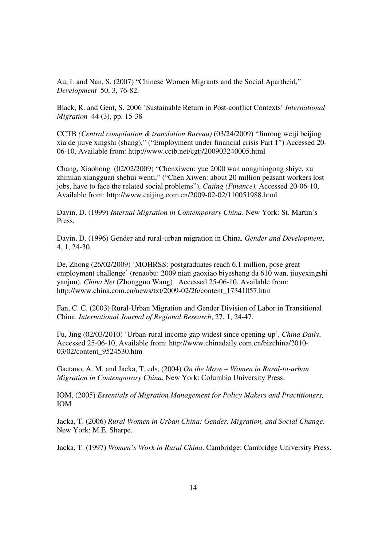Au, L and Nan, S. (2007) "Chinese Women Migrants and the Social Apartheid," *Development* 50, 3, 76-82.

Black, R. and Gent, S. 2006 'Sustainable Return in Post-conflict Contexts' *International Migration* 44 (3), pp. 15-38

CCTB *(Central compilation & translation Bureau)* (03/24/2009) "Jinrong weiji beijing xia de jiuye xingshi (shang)," ("Employment under financial crisis Part 1") Accessed 20- 06-10, Available from: http://www.cctb.net/cgtj/200903240005.html

Chang, Xiaohong (02/02/2009) "Chenxiwen: yue 2000 wan nongmingong shiye, xu zhimian xiangguan shehui wenti," ("Chen Xiwen: about 20 million peasant workers lost jobs, have to face the related social problems"), *Cajing (Finance),* Accessed 20-06-10, Available from: http://www.caijing.com.cn/2009-02-02/110051988.html

Davin, D. (1999) *Internal Migration in Contemporary China*. New York: St. Martin's Press.

Davin, D. (1996) Gender and rural-urban migration in China. *Gender and Development*, 4, 1, 24-30.

De, Zhong (26/02/2009) 'MOHRSS: postgraduates reach 6.1 million, pose great employment challenge' (renaobu: 2009 nian gaoxiao biyesheng da 610 wan, jiuyexingshi yanjun), *China Net* (Zhongguo Wang) Accessed 25-06-10, Available from: http://www.china.com.cn/news/txt/2009-02/26/content\_17341057.htm

Fan, C. C. (2003) Rural-Urban Migration and Gender Division of Labor in Transitional China. *International Journal of Regional Research*, 27, 1, 24-47.

Fu, Jing (02/03/2010) 'Urban-rural income gap widest since opening-up', *China Daily*, Accessed 25-06-10, Available from: http://www.chinadaily.com.cn/bizchina/2010- 03/02/content\_9524530.htm

Gaetano, A. M. and Jacka, T. eds, (2004) *On the Move – Women in Rural-to-urban Migration in Contemporary China*. New York: Columbia University Press.

IOM, (2005) *Essentials of Migration Management for Policy Makers and Practitioners,*  IOM

Jacka, T. (2006) *Rural Women in Urban China: Gender, Migration, and Social Change*. New York: M.E. Sharpe.

Jacka, T. (1997) *Women's Work in Rural China*. Cambridge: Cambridge University Press.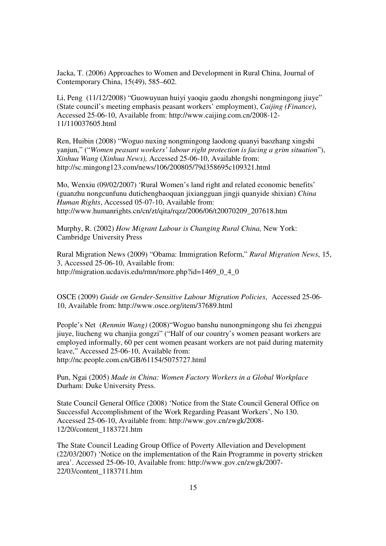Jacka, T. (2006) Approaches to Women and Development in Rural China, Journal of Contemporary China, 15(49), 585–602.

Li, Peng (11/12/2008) "Guowuyuan huiyi yaoqiu gaodu zhongshi nongmingong jiuye" (State council's meeting emphasis peasant workers' employment), *Caijing (Finance)*, Accessed 25-06-10, Available from: http://www.caijing.com.cn/2008-12- 11/110037605.html

Ren, Huibin (2008) "Woguo nuxing nongmingong laodong quanyi baozhang xingshi yanjun," ("*Women peasant workers' labour right protection is facing a grim situation*"), *Xinhua Wang* (*Xinhua News),* Accessed 25-06-10, Available from: http://sc.mingong123.com/news/106/200805/79d358695c109321.html

Mo, Wenxiu (09/02/2007) 'Rural Women's land right and related economic benefits' (guanzhu nongcunfunu dutichengbaoquan jixiangguan jingji quanyide shixian) *China Human Rights*, Accessed 05-07-10, Available from: http://www.humanrights.cn/cn/zt/qita/rqzz/2006/06/t20070209\_207618.htm

Murphy, R. (2002) *How Migrant Labour is Changing Rural China,* New York: Cambridge University Press

Rural Migration News (2009) "Obama: Immigration Reform," *Rural Migration News*, 15, 3, Accessed 25-06-10, Available from: http://migration.ucdavis.edu/rmn/more.php?id=1469\_0\_4\_0

OSCE (2009) *Guide on Gender-Sensitive Labour Migration Policies*, Accessed 25-06- 10, Available from: http://www.osce.org/item/37689.html

People's Net (*Renmin Wang)* (2008)"Woguo banshu nunongmingong shu fei zhenggui jiuye, liucheng wu chanjia gongzi" ("Half of our country's women peasant workers are employed informally, 60 per cent women peasant workers are not paid during maternity leave," Accessed 25-06-10, Available from: http://nc.people.com.cn/GB/61154/5075727.html

Pun, Ngai (2005) *Made in China: Women Factory Workers in a Global Workplace* Durham: Duke University Press.

State Council General Office (2008) 'Notice from the State Council General Office on Successful Accomplishment of the Work Regarding Peasant Workers', No 130. Accessed 25-06-10, Available from: http://www.gov.cn/zwgk/2008- 12/20/content\_1183721.htm

The State Council Leading Group Office of Poverty Alleviation and Development (22/03/2007) 'Notice on the implementation of the Rain Programme in poverty stricken area'. Accessed 25-06-10, Available from: http://www.gov.cn/zwgk/2007- 22/03/content\_1183711.htm